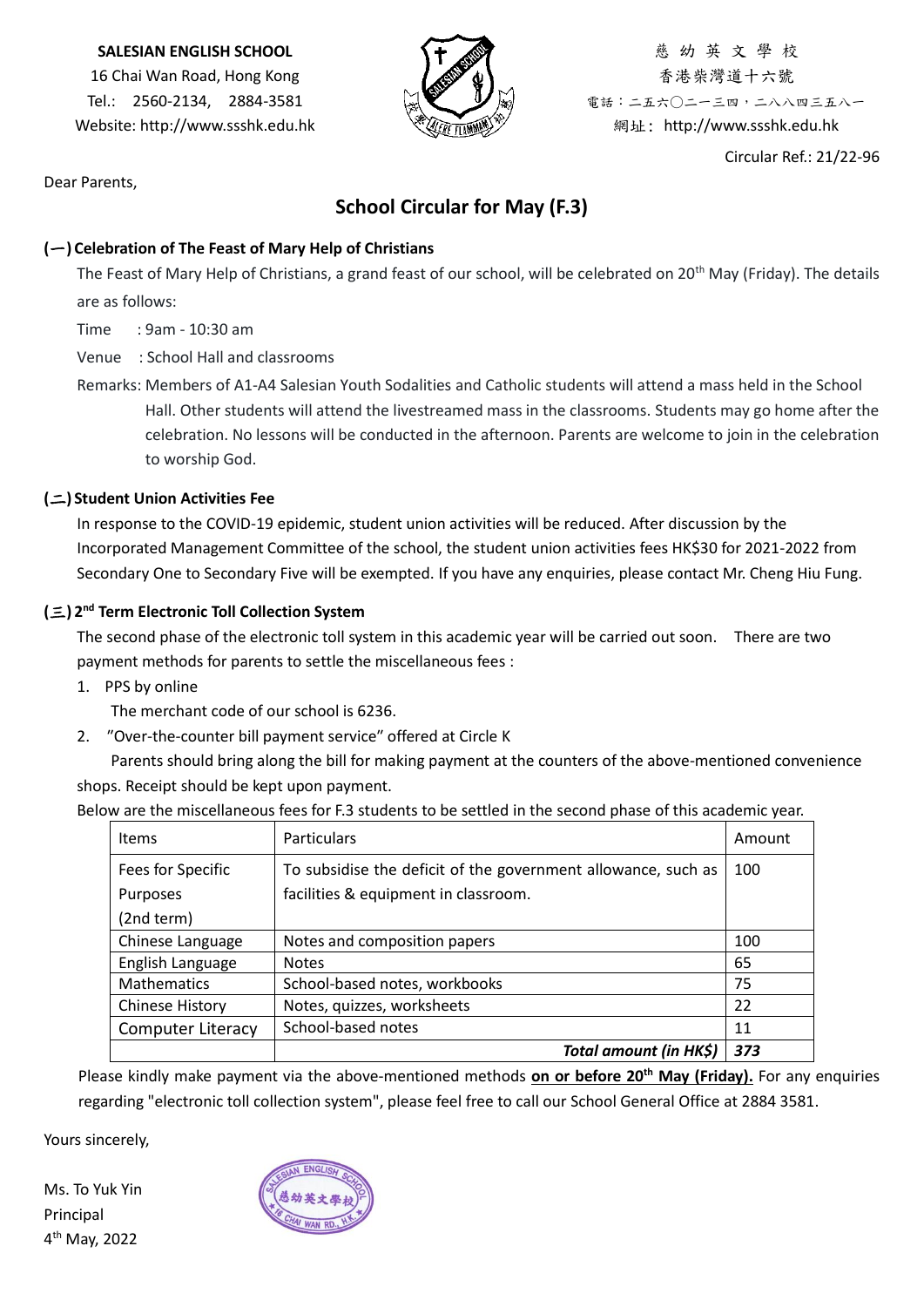#### **SALESIAN ENGLISH SCHOOL**

16 Chai Wan Road, Hong Kong Tel.: 2560-2134, 2884-3581 Website: http://www.ssshk.edu.hk



慈 幼 英 文 學 校 香港柴灣道十六號 電話:二五六○二一三四,二八八四三五八一 網址: http://www.ssshk.edu.hk

Circular Ref.: 21/22-96

Dear Parents,

# **School Circular for May (F.3)**

#### **(**一**) Celebration of The Feast of Mary Help of Christians**

The Feast of Mary Help of Christians, a grand feast of our school, will be celebrated on 20<sup>th</sup> May (Friday). The details are as follows:

Time : 9am - 10:30 am

Venue : School Hall and classrooms

Remarks: Members of A1-A4 Salesian Youth Sodalities and Catholic students will attend a mass held in the School Hall. Other students will attend the livestreamed mass in the classrooms. Students may go home after the celebration. No lessons will be conducted in the afternoon. Parents are welcome to join in the celebration to worship God.

## **(**二**) Student Union Activities Fee**

In response to the COVID-19 epidemic, student union activities will be reduced. After discussion by the Incorporated Management Committee of the school, the student union activities fees HK\$30 for 2021-2022 from Secondary One to Secondary Five will be exempted. If you have any enquiries, please contact Mr. Cheng Hiu Fung.

## **(**三**) 2 nd Term Electronic Toll Collection System**

The second phase of the electronic toll system in this academic year will be carried out soon. There are two payment methods for parents to settle the miscellaneous fees :

1. PPS by online

The merchant code of our school is 6236.

2. ″Over-the-counter bill payment service″ offered at Circle K

Parents should bring along the bill for making payment at the counters of the above-mentioned convenience shops. Receipt should be kept upon payment.

Below are the miscellaneous fees for F.3 students to be settled in the second phase of this academic year. ┑ Items | Particulars | Particulars | Amount | Amount | Amount | Amount | Amount | Amount | Amount | Amount | Amount |  $\sim$  | Amount |  $\sim$  |  $\sim$  |  $\sim$  |  $\sim$  |  $\sim$  |  $\sim$  |  $\sim$  |  $\sim$  |  $\sim$  |  $\sim$  |  $\sim$  |  $\sim$  |  $\sim$  Fees for Specific To subsidise the deficit of the government allowance, such as 100 Purposes facilities & equipment in classroom.

| items                    | Particulars                                                   | Amount |
|--------------------------|---------------------------------------------------------------|--------|
| Fees for Specific        | To subsidise the deficit of the government allowance, such as | 100    |
| Purposes                 | facilities & equipment in classroom.                          |        |
| (2nd term)               |                                                               |        |
| Chinese Language         | Notes and composition papers                                  | 100    |
| English Language         | <b>Notes</b>                                                  | 65     |
| <b>Mathematics</b>       | School-based notes, workbooks                                 | 75     |
| <b>Chinese History</b>   | Notes, quizzes, worksheets                                    | 22     |
| <b>Computer Literacy</b> | School-based notes                                            | 11     |
|                          | Total amount (in HK\$)                                        | 373    |

Please kindly make payment via the above-mentioned methods **on or before 20th May (Friday).** For any enquiries regarding "electronic toll collection system", please feel free to call our School General Office at 2884 3581.

Yours sincerely,

Ms. To Yuk Yin Principal 4 th May, 2022